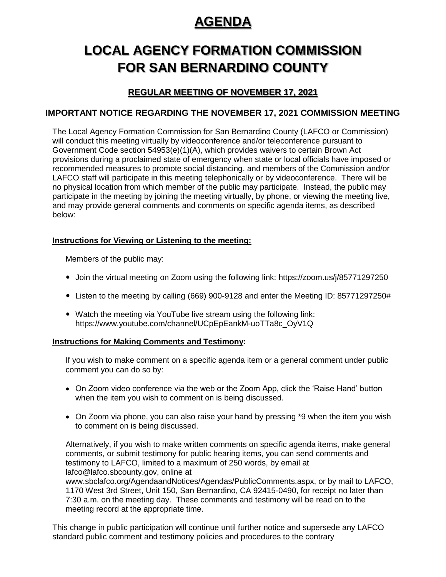# **AGENDA**

# **LOCAL AGENCY FORMATION COMMISSION FOR SAN BERNARDINO COUNTY**

# **REGULAR MEETING OF NOVEMBER 17, 2021**

# **IMPORTANT NOTICE REGARDING THE NOVEMBER 17, 2021 COMMISSION MEETING**

The Local Agency Formation Commission for San Bernardino County (LAFCO or Commission) will conduct this meeting virtually by videoconference and/or teleconference pursuant to Government Code section 54953(e)(1)(A), which provides waivers to certain Brown Act provisions during a proclaimed state of emergency when state or local officials have imposed or recommended measures to promote social distancing, and members of the Commission and/or LAFCO staff will participate in this meeting telephonically or by videoconference. There will be no physical location from which member of the public may participate. Instead, the public may participate in the meeting by joining the meeting virtually, by phone, or viewing the meeting live, and may provide general comments and comments on specific agenda items, as described below:

# **Instructions for Viewing or Listening to the meeting:**

Members of the public may:

- Join the virtual meeting on Zoom using the following link:<https://zoom.us/j/85771297250>
- Listen to the meeting by calling (669) 900-9128 and enter the Meeting ID: 85771297250#
- Watch the meeting via YouTube live stream using the following link: [https://www.youtube.com/channel/UCpEpEankM-uoTTa8c\\_OyV1Q](https://www.youtube.com/channel/UCpEpEankM-uoTTa8c_OyV1Q)

## **Instructions for Making Comments and Testimony:**

If you wish to make comment on a specific agenda item or a general comment under public comment you can do so by:

- On Zoom video conference via the web or the Zoom App, click the 'Raise Hand' button when the item you wish to comment on is being discussed.
- On Zoom via phone, you can also raise your hand by pressing \*9 when the item you wish to comment on is being discussed.

Alternatively, if you wish to make written comments on specific agenda items, make general comments, or submit testimony for public hearing items, you can send comments and testimony to LAFCO, limited to a maximum of 250 words, by email at lafco@lafco.sbcounty.gov, online at www.sbclafco.org/AgendaandNotices/Agendas/PublicComments.aspx, or by mail to LAFCO, 1170 West 3rd Street, Unit 150, San Bernardino, CA 92415-0490, for receipt no later than 7:30 a.m. on the meeting day. These comments and testimony will be read on to the meeting record at the appropriate time.

This change in public participation will continue until further notice and supersede any LAFCO standard public comment and testimony policies and procedures to the contrary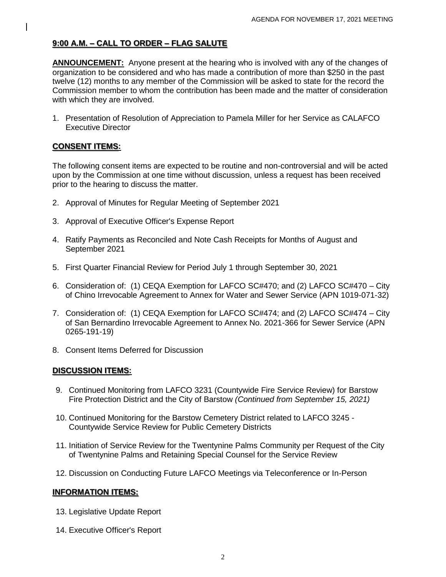## **9:00 A.M. – CALL TO ORDER – FLAG SALUTE**

**ANNOUNCEMENT:** Anyone present at the hearing who is involved with any of the changes of organization to be considered and who has made a contribution of more than \$250 in the past twelve (12) months to any member of the Commission will be asked to state for the record the Commission member to whom the contribution has been made and the matter of consideration with which they are involved.

1. Presentation of Resolution of Appreciation to Pamela Miller for her Service as CALAFCO Executive Director

### **CONSENT ITEMS:**

The following consent items are expected to be routine and non-controversial and will be acted upon by the Commission at one time without discussion, unless a request has been received prior to the hearing to discuss the matter.

- 2. Approval of Minutes for Regular Meeting of September 2021
- 3. Approval of Executive Officer's Expense Report
- 4. Ratify Payments as Reconciled and Note Cash Receipts for Months of August and September 2021
- 5. First Quarter Financial Review for Period July 1 through September 30, 2021
- 6. Consideration of: (1) CEQA Exemption for LAFCO SC#470; and (2) LAFCO SC#470 City of Chino Irrevocable Agreement to Annex for Water and Sewer Service (APN 1019-071-32)
- 7. Consideration of: (1) CEQA Exemption for LAFCO SC#474; and (2) LAFCO SC#474 City of San Bernardino Irrevocable Agreement to Annex No. 2021-366 for Sewer Service (APN 0265-191-19)
- 8. Consent Items Deferred for Discussion

### **DISCUSSION ITEMS:**

- 9. Continued Monitoring from LAFCO 3231 (Countywide Fire Service Review) for Barstow Fire Protection District and the City of Barstow *(Continued from September 15, 2021)*
- 10. Continued Monitoring for the Barstow Cemetery District related to LAFCO 3245 Countywide Service Review for Public Cemetery Districts
- 11. Initiation of Service Review for the Twentynine Palms Community per Request of the City of Twentynine Palms and Retaining Special Counsel for the Service Review
- 12. Discussion on Conducting Future LAFCO Meetings via Teleconference or In-Person

### **INFORMATION ITEMS:**

- 13. Legislative Update Report
- 14. Executive Officer's Report